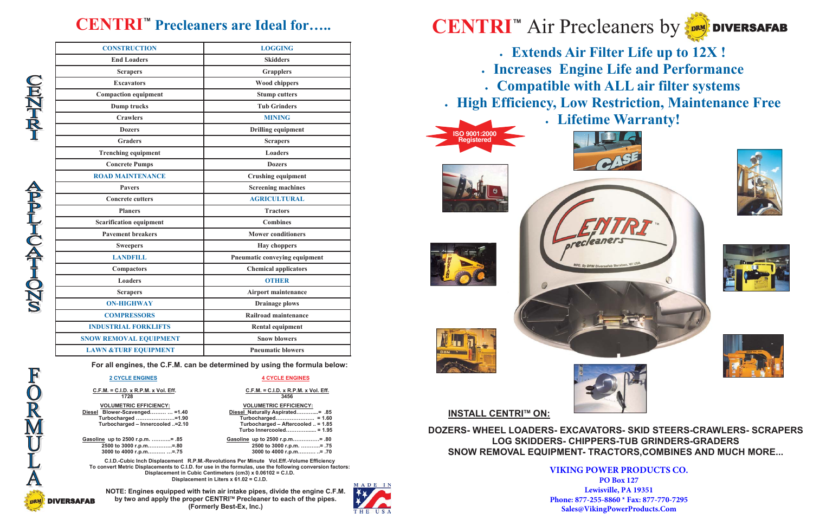| <b>CONSTRUCTION</b>             | <b>LOGGING</b>                |  |  |
|---------------------------------|-------------------------------|--|--|
| <b>End Loaders</b>              | <b>Skidders</b>               |  |  |
| <b>Scrapers</b>                 | <b>Grapplers</b>              |  |  |
| <b>Excavators</b>               | <b>Wood chippers</b>          |  |  |
| <b>Compaction equipment</b>     | <b>Stump cutters</b>          |  |  |
| Dump trucks                     | <b>Tub Grinders</b>           |  |  |
| <b>Crawlers</b>                 | <b>MINING</b>                 |  |  |
| <b>Dozers</b>                   | <b>Drilling equipment</b>     |  |  |
| <b>Graders</b>                  | <b>Scrapers</b>               |  |  |
| <b>Trenching equipment</b>      | <b>Loaders</b>                |  |  |
| <b>Concrete Pumps</b>           | <b>Dozers</b>                 |  |  |
| <b>ROAD MAINTENANCE</b>         | <b>Crushing equipment</b>     |  |  |
| <b>Pavers</b>                   | <b>Screening machines</b>     |  |  |
| <b>Concrete cutters</b>         | <b>AGRICULTURAL</b>           |  |  |
| <b>Planers</b>                  | <b>Tractors</b>               |  |  |
| <b>Scarification equipment</b>  | <b>Combines</b>               |  |  |
| <b>Pavement breakers</b>        | <b>Mower conditioners</b>     |  |  |
| <b>Sweepers</b>                 | <b>Hay choppers</b>           |  |  |
| <b>LANDFILL</b>                 | Pneumatic conveying equipment |  |  |
| <b>Compactors</b>               | <b>Chemical applicators</b>   |  |  |
| <b>Loaders</b>                  | <b>OTHER</b>                  |  |  |
| <b>Scrapers</b>                 | <b>Airport maintenance</b>    |  |  |
| <b>ON-HIGHWAY</b>               | <b>Drainage plows</b>         |  |  |
| <b>COMPRESSORS</b>              | Railroad maintenance          |  |  |
| <b>INDUSTRIAL FORKLIFTS</b>     | <b>Rental equipment</b>       |  |  |
| <b>SNOW REMOVAL EQUIPMENT</b>   | <b>Snow blowers</b>           |  |  |
| <b>LAWN &amp;TURF EQUIPMENT</b> | <b>Pneumatic blowers</b>      |  |  |

# **CENTRI™ Precleaners are Ideal for…..**

**For all engines, the C.F.M. can be determined by using the formula below:** 

#### **2 CYCLE ENGINES**

**4 CYCLE ENGINES**

 $C.F.M. = C.I.D. x R.P.M. x Vol. Eff.$ 

 **C.F.M. = C.I.D. x R.P.M. x Vol. Eff. C.F.M. = C.I.D. x R.P.M. x Vol. Eff.1728 3456** 

#### **VOLUMETRIC EFFICIENCY:**

 **VOLUMETRIC EFFICIENCY:Diesel Blower-Scavenged……… … =1.40 Diesel Naturally Aspirated………....= .85** 

 **Turbocharged ….………………=1.90 Turbocharged…………………. = 1.60 Turbocharged – Aftercooled .. = 1.85 Turbo Innercooled…………...... = 1.95** 

**Gasoline up to 2500 r.p.m. ………..= .85 Gasoline up to 2500 r.p.m……………= .80 2500 to 3000 r.p.m…………..=.80 2500 to 3000 r.p.m. ………..= .75** 

 **3000 to 4000 r.p.m………. …=.75 3000 to 4000 r.p.m………. ..= .70** 

**C.I.D.-Cubic Inch Displacement R.P.M.-Revolutions Per Minute Vol.Eff.-Volume Efficiency To convert Metric Displacements to C.I.D. for use in the formulas, use the following conversion factors: Displacement in Cubic Centimeters (cm3) x 0.06102 = C.I.D. Displacement in Liters x 61.02 = C.I.D.** 

**NOTE: Engines equipped with twin air intake pipes, divide the engine C.F.M. by two and apply the proper CENTRI™ Precleaner to each of the pipes. (Formerly Best-Ex, Inc.)** 

• **Extends Air Filter Life up to 12X !** • **Increases Engine Life and Performance** • **Compatible with ALL air filter systems** • **High Efficiency, Low Restriction, Maintenance Free** • **Lifetime Warranty!**













**INSTALL CENTRITM ON:** 

**DOZERS- WHEEL LOADERS- EXCAVATORS- SKID STEERS-CRAWLERS- SCRAPERS LOG SKIDDERS- CHIPPERS-TUB GRINDERS-GRADERS SNOW REMOVAL EQUIPMENT- TRACTORS,COMBINES AND MUCH MORE...**





**VIKING POWER PRODUCTS CO.PO Box 127 Lewisville, PA 19351 Phone: 877-255-8860 \* Fax: 877-770-7295Sales@VikingPowerProducts.Com**



FORMULA

**URHANC** 

DRM DIVERSAFAB